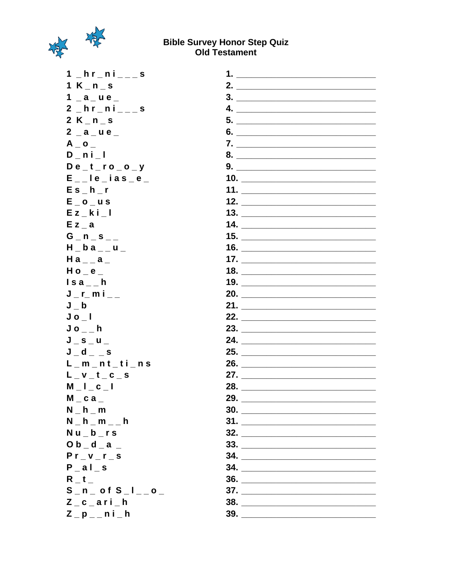

#### **Bible Survey Honor Step Quiz Old Testament**

 $1 - hr - ni$ <sub>--</sub>s  $1 K_n - s$  $1$   $a$   $u$   $e$  $2 - hr - ni$ <sub>\_\_\_</sub>s  $2 K_n n_s$  $2 - a - u e$  $A_0$  $D_{n}$ ni $_{n}$ l  $De_t$ ro\_o\_y  $E_{-}$ le\_ias\_e\_  $Es_h_r$  $E_0$ <sub>\_</sub>us  $E z_k$  $k i_l$  $E z_a$  $G_n$ n  $S_{n-1}$  $H_ba_u$  $Ha_{-}a_{-}$  $H$  o  $_e$  $\ln a_{-}$ h  $J_r$ mi $_{-}$  $J_b$  $Jo_l$  $J_0$ <sub>\_\_</sub>h  $J_S_u$  $J_d$ <sub>-</sub> $J_s$  $L_m_n_t_t_i$  $L_v - t_c - s$  $M_l$ <sub>\_</sub> $l_c$ <sub>\_</sub> $l$  $M_{c}$  c a  $_{-}$  $N_h - m$  $N_h - m_-\$ h  $Nu_b$ rs  $O b_d - a$  $Pr_v = v_r$  $P_{all}$  $R_t$  $S_n$  =  $n$  =  $o$  f  $S_n$  =  $I_{n-1}$   $o_n$  $Z_c$ <sub>c</sub> $a$ ri $h$  $Z_p$ <sub>-</sub>ni<sup>h</sup>

| 1.<br><u> Alexandria de la provincia de la provincia de la provincia de la provincia de la provincia de la provincia de la provincia de la provincia de la provincia de la provincia de la provincia de la provincia de la provincia d</u>  |
|---------------------------------------------------------------------------------------------------------------------------------------------------------------------------------------------------------------------------------------------|
| 2. $\qquad \qquad$                                                                                                                                                                                                                          |
|                                                                                                                                                                                                                                             |
| $\overline{\mathbf{4.}}$                                                                                                                                                                                                                    |
|                                                                                                                                                                                                                                             |
| 6.                                                                                                                                                                                                                                          |
|                                                                                                                                                                                                                                             |
| $8. \qquad \qquad \overbrace{\qquad \qquad }$                                                                                                                                                                                               |
| 9.                                                                                                                                                                                                                                          |
|                                                                                                                                                                                                                                             |
|                                                                                                                                                                                                                                             |
| 12. $\qquad \qquad$                                                                                                                                                                                                                         |
| 13.                                                                                                                                                                                                                                         |
|                                                                                                                                                                                                                                             |
|                                                                                                                                                                                                                                             |
| 16.                                                                                                                                                                                                                                         |
|                                                                                                                                                                                                                                             |
|                                                                                                                                                                                                                                             |
| 19.                                                                                                                                                                                                                                         |
| 20.                                                                                                                                                                                                                                         |
|                                                                                                                                                                                                                                             |
| 22.                                                                                                                                                                                                                                         |
| 23.                                                                                                                                                                                                                                         |
| 24.                                                                                                                                                                                                                                         |
| 25.                                                                                                                                                                                                                                         |
| 26.                                                                                                                                                                                                                                         |
| 27.<br><u> 1989 - Johann Harry Harry Harry Harry Harry Harry Harry Harry Harry Harry Harry Harry Harry Harry Harry Harry Harry Harry Harry Harry Harry Harry Harry Harry Harry Harry Harry Harry Harry Harry Harry Harry Harry Harry Ha</u> |
| 28.<br><u> 1989 - Alban Store, amerikansk politiker (</u>                                                                                                                                                                                   |
| 29.                                                                                                                                                                                                                                         |
| 30.                                                                                                                                                                                                                                         |
| 31.                                                                                                                                                                                                                                         |
| 32.                                                                                                                                                                                                                                         |
| $\begin{array}{c} \n \textbf{33.} \quad \textcolor{red}{\overbrace{\textbf{23.8}}\n \end{array}$                                                                                                                                            |
|                                                                                                                                                                                                                                             |
| $\begin{array}{c}\n34. \quad \textcolor{blue}{\overline{\qquad \qquad }}\n\end{array}$                                                                                                                                                      |
| $\begin{array}{c}\n36. \quad \textcolor{blue}{\overline{\qquad \qquad }}\n\end{array}$                                                                                                                                                      |
| 37.                                                                                                                                                                                                                                         |
| 38.                                                                                                                                                                                                                                         |
| 39.                                                                                                                                                                                                                                         |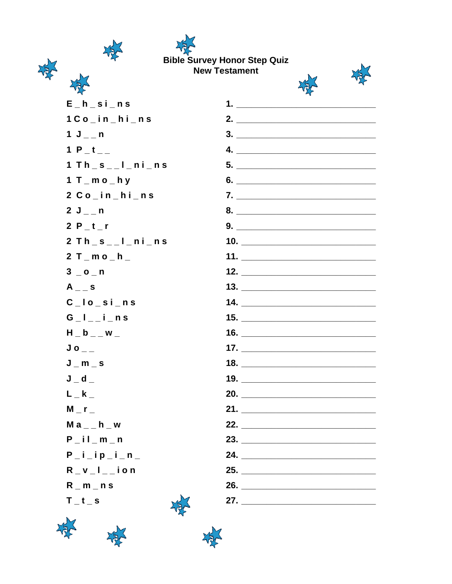## **Bible Survey Honor Step Quiz New Testament**

XS



 $\overline{\phantom{a}}$ 

\_\_\_\_\_\_\_\_\_\_\_\_\_\_ 

\_\_\_\_\_\_\_\_\_\_\_\_\_\_\_\_\_\_

 $\overline{\phantom{0}}$ 

 $\overline{\phantom{0}}$ 

 $\overline{\phantom{0}}$ 

 $\overline{\phantom{a}}$ 

| $E_h$ <sub>_</sub> si_ns          |                                                                                                                                                                                                                                                                                                                                                                                                                                                              |
|-----------------------------------|--------------------------------------------------------------------------------------------------------------------------------------------------------------------------------------------------------------------------------------------------------------------------------------------------------------------------------------------------------------------------------------------------------------------------------------------------------------|
| $1Co_i$ in_hi_ns                  |                                                                                                                                                                                                                                                                                                                                                                                                                                                              |
| $1 J_{--} n$                      | $\begin{array}{c} \n \textbf{3.} \quad \textbf{5.} \quad \textbf{6.} \quad \textbf{6.} \quad \textbf{7.} \quad \textbf{8.} \quad \textbf{9.} \quad \textbf{1.} \quad \textbf{1.} \quad \textbf{1.} \quad \textbf{1.} \quad \textbf{1.} \quad \textbf{1.} \quad \textbf{1.} \quad \textbf{1.} \quad \textbf{1.} \quad \textbf{1.} \quad \textbf{1.} \quad \textbf{1.} \quad \textbf{1.} \quad \textbf{1.} \quad \textbf{1.} \quad \textbf{1.} \quad \textbf{$ |
| 1 P_t__                           | 4. $\qquad \qquad$                                                                                                                                                                                                                                                                                                                                                                                                                                           |
| $1$ Th_s__l_ni_ns                 |                                                                                                                                                                                                                                                                                                                                                                                                                                                              |
| 1 $T$ $_m$ $o$ $_m$ $h$ $y$       |                                                                                                                                                                                                                                                                                                                                                                                                                                                              |
| $2 Co_{in_{h}-}$ hi $_{n}$ s      |                                                                                                                                                                                                                                                                                                                                                                                                                                                              |
| $2 J_{-} n$                       | 8.                                                                                                                                                                                                                                                                                                                                                                                                                                                           |
| 2 $P_t$                           |                                                                                                                                                                                                                                                                                                                                                                                                                                                              |
| $2 Th_s_l_s_l_n$                  | 10. $\qquad \qquad$                                                                                                                                                                                                                                                                                                                                                                                                                                          |
| $2T_{m}$ mo_h_                    | 11. $\frac{1}{2}$ 11.                                                                                                                                                                                                                                                                                                                                                                                                                                        |
| $3$ _ o _ n                       | 12. $\frac{1}{2}$ $\frac{1}{2}$ $\frac{1}{2}$ $\frac{1}{2}$ $\frac{1}{2}$ $\frac{1}{2}$ $\frac{1}{2}$ $\frac{1}{2}$ $\frac{1}{2}$ $\frac{1}{2}$ $\frac{1}{2}$ $\frac{1}{2}$ $\frac{1}{2}$ $\frac{1}{2}$ $\frac{1}{2}$ $\frac{1}{2}$ $\frac{1}{2}$ $\frac{1}{2}$ $\frac{1}{2}$ $\frac{1}{2}$ $\frac{1}{2}$ $\frac{1}{2$                                                                                                                                       |
| $A_{-}$ s                         | 13. $\overline{\phantom{a} \phantom{a} \phantom{a} \phantom{a}}$                                                                                                                                                                                                                                                                                                                                                                                             |
| $C$ $I$ $o$ $s$ $i$ $n$ $s$       |                                                                                                                                                                                                                                                                                                                                                                                                                                                              |
| $G_l_l_l$ = $i$ = $n$ s           |                                                                                                                                                                                                                                                                                                                                                                                                                                                              |
| $H_b$ <sub>-</sub> w <sup>-</sup> | 16. $\qquad \qquad$                                                                                                                                                                                                                                                                                                                                                                                                                                          |
| $Jo_{--}$                         | 17. $\sqrt{2}$ 17. $\sqrt{2}$ 17. $\sqrt{2}$ 17. $\sqrt{2}$ 17. $\sqrt{2}$ 17. $\sqrt{2}$ 17. $\sqrt{2}$ 17. $\sqrt{2}$ 17. $\sqrt{2}$ 17. $\sqrt{2}$ 17. $\sqrt{2}$ 17. $\sqrt{2}$ 17. $\sqrt{2}$ 17. $\sqrt{2}$ 17. $\sqrt{2}$ 17. $\sqrt{2}$ 17. $\sqrt{2}$ 17. $\sqrt{2}$ 17.                                                                                                                                                                            |
| $J_m$ = $S$                       |                                                                                                                                                                                                                                                                                                                                                                                                                                                              |
| $J_d$                             |                                                                                                                                                                                                                                                                                                                                                                                                                                                              |
| $L_{-}$ k $_{-}$                  | 20.                                                                                                                                                                                                                                                                                                                                                                                                                                                          |
| $M_{r}$                           |                                                                                                                                                                                                                                                                                                                                                                                                                                                              |
| Ma__h_w                           | 22.                                                                                                                                                                                                                                                                                                                                                                                                                                                          |
| P il m n                          | 23.                                                                                                                                                                                                                                                                                                                                                                                                                                                          |
| $P_i$ i _ip_i _n_                 | 24. $\qquad \qquad$                                                                                                                                                                                                                                                                                                                                                                                                                                          |
| $R_{v}$ $I_{v}$ ion               | 25.                                                                                                                                                                                                                                                                                                                                                                                                                                                          |
| $R_m - n s$                       | 26.                                                                                                                                                                                                                                                                                                                                                                                                                                                          |
| $T_t_s$                           | 27.                                                                                                                                                                                                                                                                                                                                                                                                                                                          |
|                                   |                                                                                                                                                                                                                                                                                                                                                                                                                                                              |



读诗



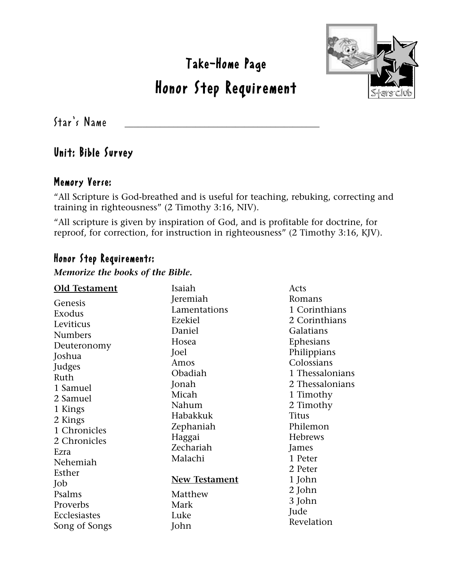Take-Home Page

## Honor Step Requirement



 $Star's$  Name

#### Unit: Bible Survey

#### Memory Verse:

"All Scripture is God-breathed and is useful for teaching, rebuking, correcting and training in righteousness" (2 Timothy 3:16, NIV).

"All scripture is given by inspiration of God, and is profitable for doctrine, for reproof, for correction, for instruction in righteousness" (2 Timothy 3:16, KJV).

#### Honor Step Requirements:

#### *Memorize the books of the Bible.*

| <b>Old Testament</b> | Isaiah               | Acts            |
|----------------------|----------------------|-----------------|
| Genesis              | Jeremiah             | Romans          |
| Exodus               | Lamentations         | 1 Corinthians   |
| Leviticus            | Ezekiel              | 2 Corinthians   |
| <b>Numbers</b>       | Daniel               | Galatians       |
| Deuteronomy          | Hosea                | Ephesians       |
| Joshua               | Joel                 | Philippians     |
| Judges               | Amos                 | Colossians      |
| Ruth                 | Obadiah              | 1 Thessalonians |
| 1 Samuel             | Jonah                | 2 Thessalonians |
| 2 Samuel             | Micah                | 1 Timothy       |
| 1 Kings              | Nahum                | 2 Timothy       |
| 2 Kings              | Habakkuk             | <b>Titus</b>    |
| 1 Chronicles         | Zephaniah            | Philemon        |
| 2 Chronicles         | Haggai               | <b>Hebrews</b>  |
| Ezra                 | Zechariah            | James           |
| Nehemiah             | Malachi              | 1 Peter         |
| Esther               |                      | 2 Peter         |
| Job                  | <b>New Testament</b> | 1 John          |
| Psalms               | Matthew              | 2 John          |
| Proverbs             | Mark                 | 3 John          |
| Ecclesiastes         | Luke                 | Jude            |
| Song of Songs        | John                 | Revelation      |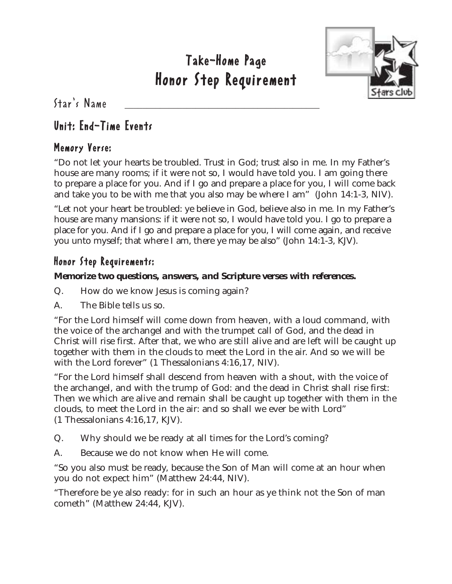

 $Star's$  Name

### Unit: End-Time Events

#### Memory Verse:

"Do not let your hearts be troubled. Trust in God; trust also in me. In my Father's house are many rooms; if it were not so, I would have told you. I am going there to prepare a place for you. And if I go and prepare a place for you, I will come back and take you to be with me that you also may be where I am" (John 14:1-3, NIV).

"Let not your heart be troubled: ye believe in God, believe also in me. In my Father's house are many mansions: if it were not so, I would have told you. I go to prepare a place for you. And if I go and prepare a place for you, I will come again, and receive you unto myself; that where I am, there ye may be also" (John 14:1-3, KJV).

#### Honor Step Requirements:

#### *Memorize two questions, answers, and Scripture verses with references.*

- Q. How do we know Jesus is coming again?
- A. The Bible tells us so.

"For the Lord himself will come down from heaven, with a loud command, with the voice of the archangel and with the trumpet call of God, and the dead in Christ will rise first. After that, we who are still alive and are left will be caught up together with them in the clouds to meet the Lord in the air. And so we will be with the Lord forever" (1 Thessalonians 4:16,17, NIV).

"For the Lord himself shall descend from heaven with a shout, with the voice of the archangel, and with the trump of God: and the dead in Christ shall rise first: Then we which are alive and remain shall be caught up together with them in the clouds, to meet the Lord in the air: and so shall we ever be with Lord" (1 Thessalonians 4:16,17, KJV).

- Q. Why should we be ready at all times for the Lord's coming?
- A. Because we do not know when He will come.

"So you also must be ready, because the Son of Man will come at an hour when you do not expect him" (Matthew 24:44, NIV).

"Therefore be ye also ready: for in such an hour as ye think not the Son of man cometh" (Matthew 24:44, KJV).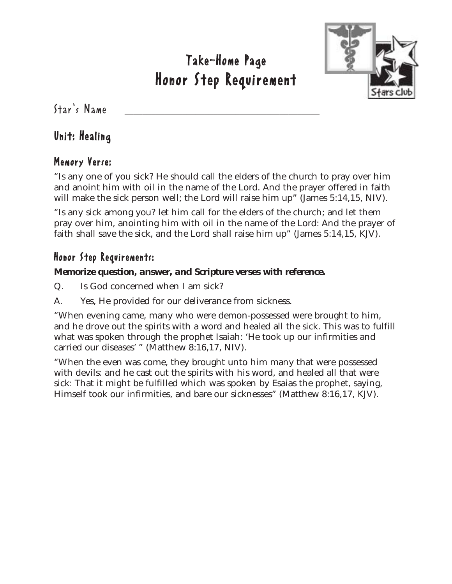

 $Star's$  Name

#### Unit: Healing

#### Memory Verse:

"Is any one of you sick? He should call the elders of the church to pray over him and anoint him with oil in the name of the Lord. And the prayer offered in faith will make the sick person well; the Lord will raise him up" (James 5:14,15, NIV).

"Is any sick among you? let him call for the elders of the church; and let them pray over him, anointing him with oil in the name of the Lord: And the prayer of faith shall save the sick, and the Lord shall raise him up" (James 5:14,15, KJV).

#### Honor Step Requirements:

#### *Memorize question, answer, and Scripture verses with reference.*

- Q. Is God concerned when I am sick?
- A. Yes, He provided for our deliverance from sickness.

"When evening came, many who were demon-possessed were brought to him, and he drove out the spirits with a word and healed all the sick. This was to fulfill what was spoken through the prophet Isaiah: 'He took up our infirmities and carried our diseases' " (Matthew 8:16,17, NIV).

"When the even was come, they brought unto him many that were possessed with devils: and he cast out the spirits with his word, and healed all that were sick: That it might be fulfilled which was spoken by Esaias the prophet, saying, Himself took our infirmities, and bare our sicknesses" (Matthew 8:16,17, KJV).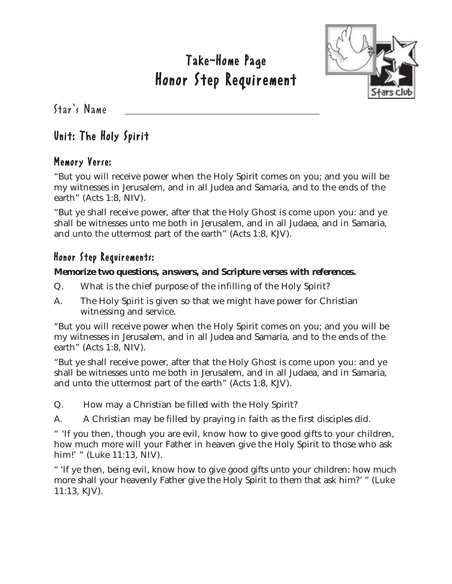

 $Star's$  Name

#### Unit: The Holy Spirit

#### Memory Verse:

"But you will receive power when the Holy Spirit comes on you; and you will be my witnesses in Jerusalem, and in all Judea and Samaria, and to the ends of the earth" (Acts 1:8, NIV).

"But ye shall receive power, after that the Holy Ghost is come upon you: and ye shall be witnesses unto me both in Jerusalem, and in all Judaea, and in Samaria, and unto the uttermost part of the earth" (Acts 1:8, KJV).

#### Honor Step Requirements:

#### *Memorize two questions, answers, and Scripture verses with references.*

- Q. What is the chief purpose of the infilling of the Holy Spirit?
- A. The Holy Spirit is given so that we might have power for Christian witnessing and service.

"But you will receive power when the Holy Spirit comes on you; and you will be my witnesses in Jerusalem, and in all Judea and Samaria, and to the ends of the earth" (Acts 1:8, NIV).

"But ye shall receive power, after that the Holy Ghost is come upon you: and ye shall be witnesses unto me both in Jerusalem, and in all Judaea, and in Samaria, and unto the uttermost part of the earth" (Acts 1:8, KJV).

Q. How may a Christian be filled with the Holy Spirit?

A. A Christian may be filled by praying in faith as the first disciples did.

" 'If you then, though you are evil, know how to give good gifts to your children, how much more will your Father in heaven give the Holy Spirit to those who ask him!' " (Luke 11:13, NIV).

" 'If ye then, being evil, know how to give good gifts unto your children: how much more shall your heavenly Father give the Holy Spirit to them that ask him?' " (Luke 11:13, KJV).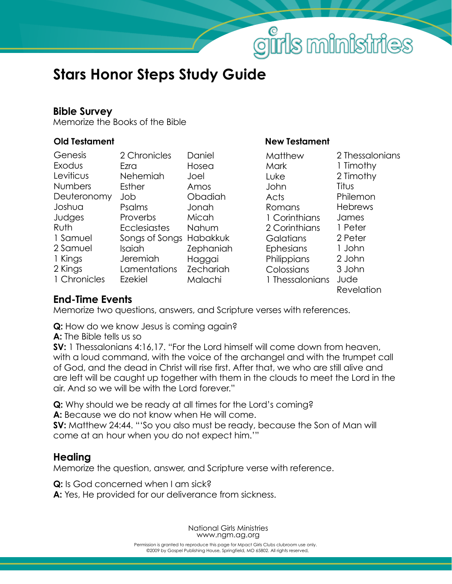# girls ministries

## **Stars Honor Steps Study Guide**

#### **Bible Survey**

Memorize the Books of the Bible

| Genesis      | 2 Chronicles        | Daniel           |
|--------------|---------------------|------------------|
| Exodus       | Ezra                | Hosea            |
| Leviticus    | Nehemiah            | Joel             |
| Numbers      | Esther              | Amos             |
| Deuteronomy  | Job                 | Obadiah          |
| Joshua       | Psalms              | Jonah            |
| Judges       | Proverbs            | Micah            |
| Ruth         | <b>Ecclesiastes</b> | Nahum            |
| 1 Samuel     | Songs of Songs      | <b>Habakkuk</b>  |
| 2 Samuel     | Isaiah              | Zephaniah        |
| 1 Kings      | Jeremiah            | Haggai           |
| 2 Kings      | Lamentations        | <b>Zechariah</b> |
| 1 Chronicles | Ezekiel             | Malachi          |
|              |                     |                  |

#### **Old Testament New Testament**

| Matthew<br>Mark<br>Luke<br>John<br>Acts<br>Romans<br>1 Corinthians<br>2 Corinthians<br>Galatians<br>Ephesians<br>Philippians<br>Colossians | 2 Thessalonians<br>1 Timothy<br>2 Timothy<br>Titus<br>Philemon<br><b>Hebrews</b><br>James<br>1 Peter<br>2 Peter<br>1 John<br>2 John<br>3 John |
|--------------------------------------------------------------------------------------------------------------------------------------------|-----------------------------------------------------------------------------------------------------------------------------------------------|
|                                                                                                                                            |                                                                                                                                               |
| 1 Thessalonians                                                                                                                            | Jude<br>Revelation                                                                                                                            |

#### **End-Time Events**

Memorize two questions, answers, and Scripture verses with references.

**Q:** How do we know Jesus is coming again?

**A:** The Bible tells us so

**SV:** 1 Thessalonians 4:16,17. "For the Lord himself will come down from heaven, with a loud command, with the voice of the archangel and with the trumpet call of God, and the dead in Christ will rise first. After that, we who are still alive and are left will be caught up together with them in the clouds to meet the Lord in the air. And so we will be with the Lord forever."

**Q:** Why should we be ready at all times for the Lord's coming? **A:** Because we do not know when He will come.

**SV:** Matthew 24:44. "'So you also must be ready, because the Son of Man will come at an hour when you do not expect him.'"

#### **Healing**

Memorize the question, answer, and Scripture verse with reference.

**Q:** Is God concerned when I am sick?

**A:** Yes, He provided for our deliverance from sickness.

National Girls Ministries www.ngm.ag.org

©2009 by Gospel Publishing House, Springfield, MO 65802. All rights reserved, Permission is granted to reproduce this page for Mpact Girls Clubs clubroom use only.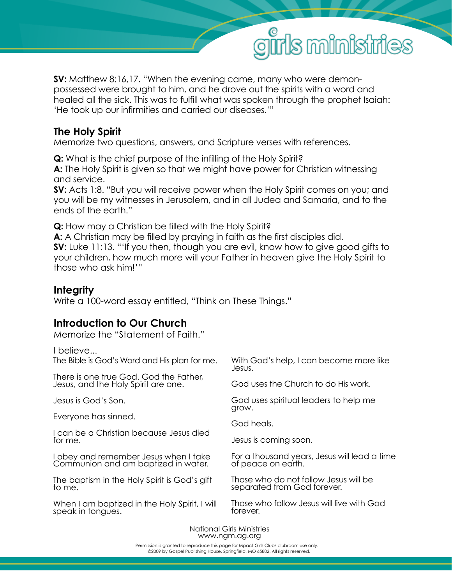

**SV:** Matthew 8:16,17. "When the evening came, many who were demonpossessed were brought to him, and he drove out the spirits with a word and healed all the sick. This was to fulfill what was spoken through the prophet Isaiah: 'He took up our infirmities and carried our diseases.'"

#### **The Holy Spirit**

Memorize two questions, answers, and Scripture verses with references.

**Q:** What is the chief purpose of the infilling of the Holy Spirit? **A:** The Holy Spirit is given so that we might have power for Christian witnessing and service.

**SV:** Acts 1:8. "But you will receive power when the Holy Spirit comes on you; and you will be my witnesses in Jerusalem, and in all Judea and Samaria, and to the ends of the earth."

**Q:** How may a Christian be filled with the Holy Spirit?

**A:** A Christian may be filled by praying in faith as the first disciples did. **SV:** Luke 11:13. "'If you then, though you are evil, know how to give good gifts to your children, how much more will your Father in heaven give the Holy Spirit to those who ask him!'"

#### **Integrity**

Write a 100-word essay entitled, "Think on These Things."

#### **Introduction to Our Church**

Memorize the "Statement of Faith."

I believe...

With God's help, I can become more like Jesus. God uses the Church to do His work. God uses spiritual leaders to help me grow. God heals. Jesus is coming soon. For a thousand years, Jesus will lead a time of peace on earth. Those who do not follow Jesus will be separated from God forever. Those who follow Jesus will live with God forever. The Bible is God's Word and His plan for me. There is one true God. God the Father, Jesus, and the Holy Spirit are one. Jesus is God's Son. Everyone has sinned. I can be a Christian because Jesus died for me. I obey and remember Jesus when I take Communion and am baptized in water. The baptism in the Holy Spirit is God's gift to me. When I am baptized in the Holy Spirit, I will speak in tongues.

> National Girls Ministries www.ngm.ag.org

©2009 by Gospel Publishing House, Springfield, MO 65802. All rights reserved, Permission is granted to reproduce this page for Mpact Girls Clubs clubroom use only.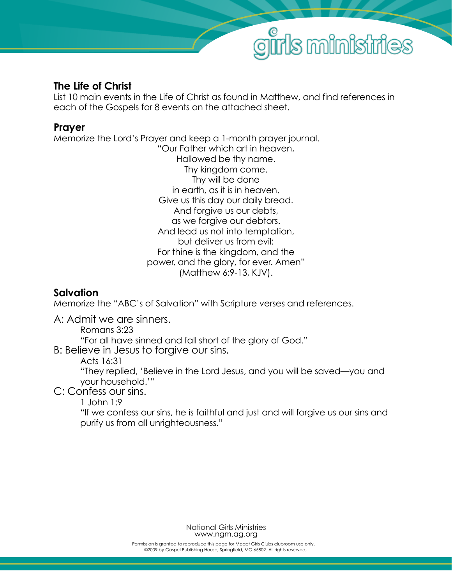

#### **The Life of Christ**

List 10 main events in the Life of Christ as found in Matthew, and find references in each of the Gospels for 8 events on the attached sheet.

#### **Prayer**

Memorize the Lord's Prayer and keep a 1-month prayer journal. "Our Father which art in heaven, Hallowed be thy name. Thy kingdom come. Thy will be done in earth, as it is in heaven. Give us this day our daily bread. And forgive us our debts, as we forgive our debtors. And lead us not into temptation, but deliver us from evil: For thine is the kingdom, and the power, and the glory, for ever. Amen" (Matthew 6:9-13, KJV).

#### **Salvation**

Memorize the "ABC's of Salvation" with Scripture verses and references.

A: Admit we are sinners.

Romans 3:23

"For all have sinned and fall short of the glory of God."

B: Believe in Jesus to forgive our sins.

Acts 16:31

 "They replied, 'Believe in the Lord Jesus, and you will be saved—you and your household.'"

C: Confess our sins.

1 John 1:9

 "If we confess our sins, he is faithful and just and will forgive us our sins and purify us from all unrighteousness."

> National Girls Ministries www.ngm.ag.org

©2009 by Gospel Publishing House, Springfield, MO 65802. All rights reserved, Permission is granted to reproduce this page for Mpact Girls Clubs clubroom use only.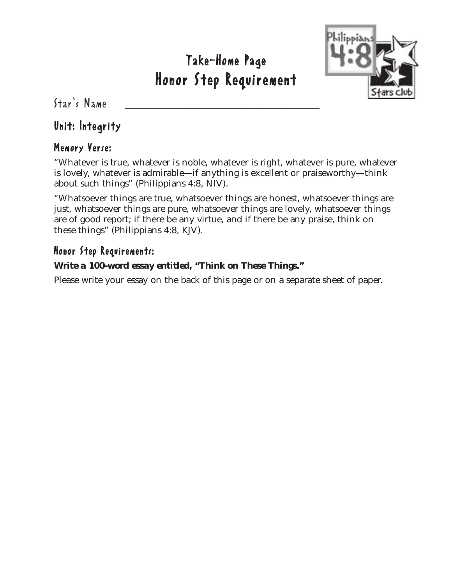

 $Star's$  Name

#### Unit: Integrity

#### Memory Verse:

"Whatever is true, whatever is noble, whatever is right, whatever is pure, whatever is lovely, whatever is admirable—if anything is excellent or praiseworthy—think about such things" (Philippians 4:8, NIV).

"Whatsoever things are true, whatsoever things are honest, whatsoever things are just, whatsoever things are pure, whatsoever things are lovely, whatsoever things are of good report; if there be any virtue, and if there be any praise, think on these things" (Philippians 4:8, KJV).

#### Honor Step Requirements:

#### *Write a 100-word essay entitled, "Think on These Things."*

Please write your essay on the back of this page or on a separate sheet of paper.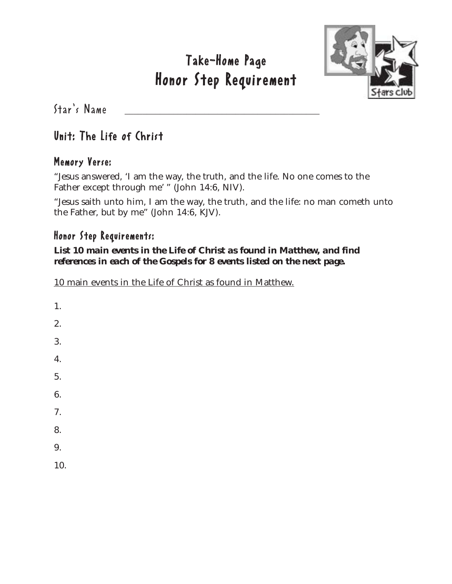

 $Star's$  Name

#### Unit: The Life of Christ

#### Memory Verse:

"Jesus answered, 'I am the way, the truth, and the life. No one comes to the Father except through me' " (John 14:6, NIV).

"Jesus saith unto him, I am the way, the truth, and the life: no man cometh unto the Father, but by me" (John 14:6, KJV).

#### Honor Step Requirements:

#### *List 10 main events in the Life of Christ as found in Matthew, and find references in each of the Gospels for 8 events listed on the next page.*

10 main events in the Life of Christ as found in Matthew.

| 1.  |  |  |
|-----|--|--|
| 2.  |  |  |
| 3.  |  |  |
| 4.  |  |  |
| 5.  |  |  |
| 6.  |  |  |
| 7.  |  |  |
| 8.  |  |  |
| 9.  |  |  |
| 10. |  |  |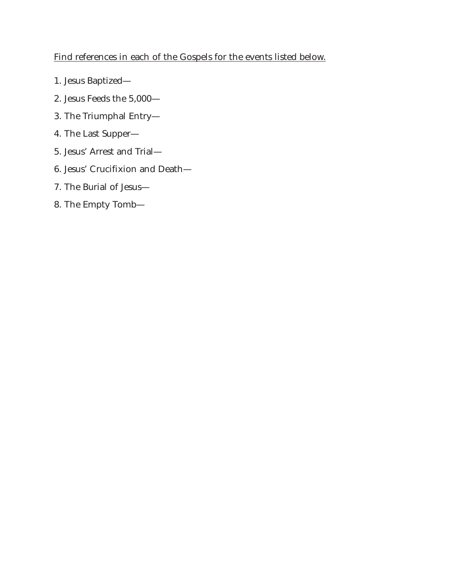#### Find references in each of the Gospels for the events listed below.

- 1. Jesus Baptized—
- 2. Jesus Feeds the 5,000—
- 3. The Triumphal Entry—
- 4. The Last Supper—
- 5. Jesus' Arrest and Trial—
- 6. Jesus' Crucifixion and Death—
- 7. The Burial of Jesus—
- 8. The Empty Tomb—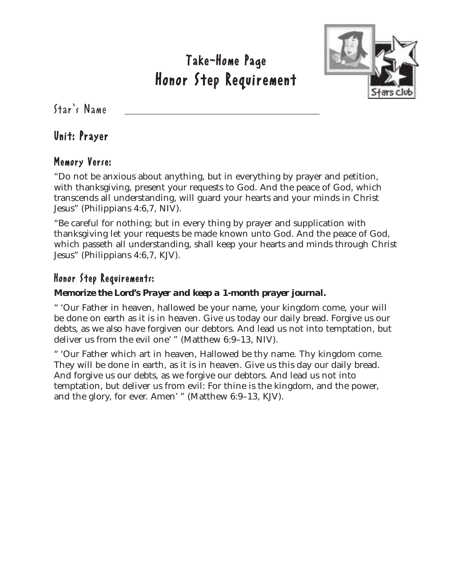

 $Star's$  Name

#### Unit: Prayer

#### Memory Verse:

"Do not be anxious about anything, but in everything by prayer and petition, with thanksgiving, present your requests to God. And the peace of God, which transcends all understanding, will guard your hearts and your minds in Christ Jesus" (Philippians 4:6,7, NIV).

"Be careful for nothing; but in every thing by prayer and supplication with thanksgiving let your requests be made known unto God. And the peace of God, which passeth all understanding, shall keep your hearts and minds through Christ Jesus" (Philippians 4:6,7, KJV).

#### Honor Step Requirements:

#### *Memorize the Lord's Prayer and keep a 1-month prayer journal.*

" 'Our Father in heaven, hallowed be your name, your kingdom come, your will be done on earth as it is in heaven. Give us today our daily bread. Forgive us our debts, as we also have forgiven our debtors. And lead us not into temptation, but deliver us from the evil one' " (Matthew 6:9–13, NIV).

" 'Our Father which art in heaven, Hallowed be thy name. Thy kingdom come. They will be done in earth, as it is in heaven. Give us this day our daily bread. And forgive us our debts, as we forgive our debtors. And lead us not into temptation, but deliver us from evil: For thine is the kingdom, and the power, and the glory, for ever. Amen' " (Matthew 6:9–13, KJV).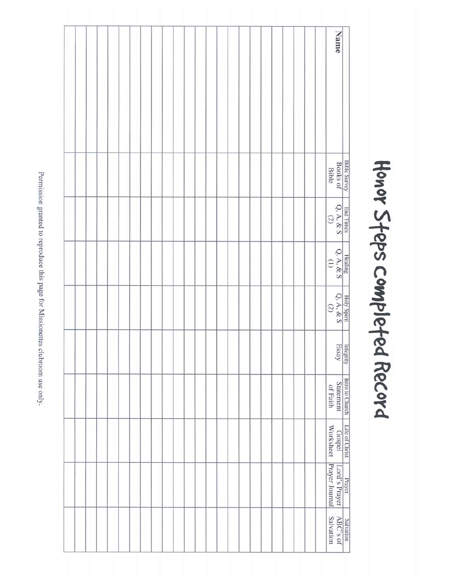Name Bible Survey<br>Books of<br>Bible  $Q, A, \& S$ End Times  $\frac{\text{Hcaling}}{\text{Q.A.} \& \text{S}}$  $\begin{array}{c|c}\n\text{Holy Spin} \\
\text{Q, A, & (2)} \\
\hline\n\end{array}$ Integrity<br>Essay Intro to Church Life of Christ<br>Statement Gospel<br>of Faith Worksheet Lord's Prayer<br>Prayer Journal Prayer Salvation<br>ABC's of<br>Salvation

Honor Steps completed Record

Permission granted to reproduce this page for Missionettes clubroom use only.